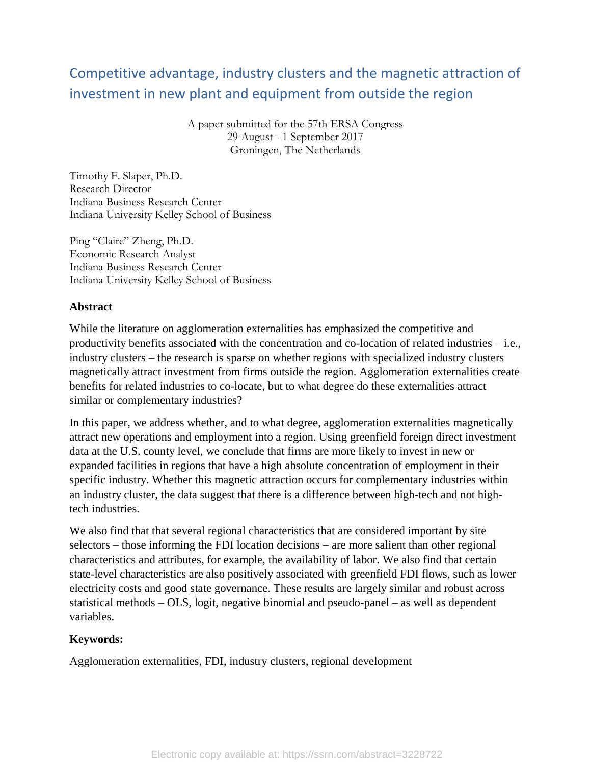# Competitive advantage, industry clusters and the magnetic attraction of investment in new plant and equipment from outside the region

A paper submitted for the 57th ERSA Congress 29 August - 1 September 2017 Groningen, The Netherlands

Timothy F. Slaper, Ph.D. Research Director Indiana Business Research Center Indiana University Kelley School of Business

Ping "Claire" Zheng, Ph.D. Economic Research Analyst Indiana Business Research Center Indiana University Kelley School of Business

#### **Abstract**

While the literature on agglomeration externalities has emphasized the competitive and productivity benefits associated with the concentration and co-location of related industries – i.e., industry clusters – the research is sparse on whether regions with specialized industry clusters magnetically attract investment from firms outside the region. Agglomeration externalities create benefits for related industries to co-locate, but to what degree do these externalities attract similar or complementary industries?

In this paper, we address whether, and to what degree, agglomeration externalities magnetically attract new operations and employment into a region. Using greenfield foreign direct investment data at the U.S. county level, we conclude that firms are more likely to invest in new or expanded facilities in regions that have a high absolute concentration of employment in their specific industry. Whether this magnetic attraction occurs for complementary industries within an industry cluster, the data suggest that there is a difference between high-tech and not hightech industries.

We also find that that several regional characteristics that are considered important by site selectors – those informing the FDI location decisions – are more salient than other regional characteristics and attributes, for example, the availability of labor. We also find that certain state-level characteristics are also positively associated with greenfield FDI flows, such as lower electricity costs and good state governance. These results are largely similar and robust across statistical methods – OLS, logit, negative binomial and pseudo-panel – as well as dependent variables.

### **Keywords:**

Agglomeration externalities, FDI, industry clusters, regional development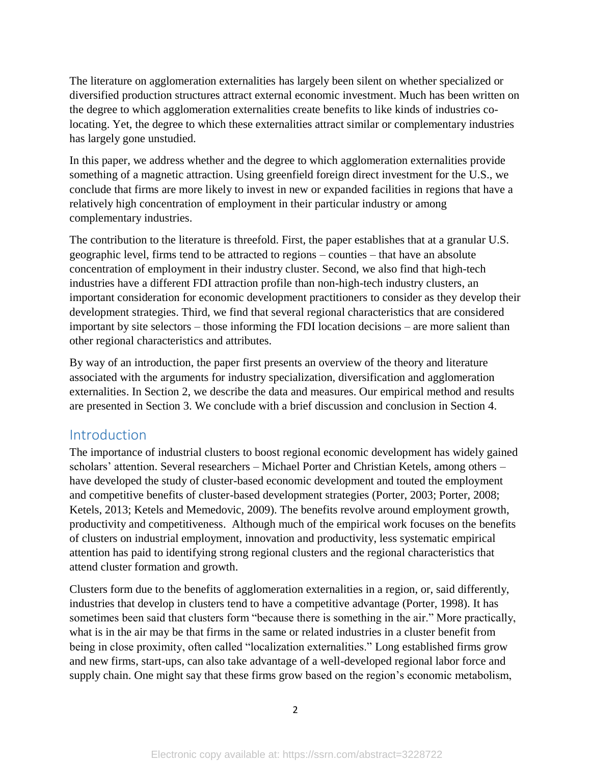The literature on agglomeration externalities has largely been silent on whether specialized or diversified production structures attract external economic investment. Much has been written on the degree to which agglomeration externalities create benefits to like kinds of industries colocating. Yet, the degree to which these externalities attract similar or complementary industries has largely gone unstudied.

In this paper, we address whether and the degree to which agglomeration externalities provide something of a magnetic attraction. Using greenfield foreign direct investment for the U.S., we conclude that firms are more likely to invest in new or expanded facilities in regions that have a relatively high concentration of employment in their particular industry or among complementary industries.

The contribution to the literature is threefold. First, the paper establishes that at a granular U.S. geographic level, firms tend to be attracted to regions – counties – that have an absolute concentration of employment in their industry cluster. Second, we also find that high-tech industries have a different FDI attraction profile than non-high-tech industry clusters, an important consideration for economic development practitioners to consider as they develop their development strategies. Third, we find that several regional characteristics that are considered important by site selectors – those informing the FDI location decisions – are more salient than other regional characteristics and attributes.

By way of an introduction, the paper first presents an overview of the theory and literature associated with the arguments for industry specialization, diversification and agglomeration externalities. In Section 2, we describe the data and measures. Our empirical method and results are presented in Section 3. We conclude with a brief discussion and conclusion in Section 4.

## Introduction

The importance of industrial clusters to boost regional economic development has widely gained scholars' attention. Several researchers – Michael Porter and Christian Ketels, among others – have developed the study of cluster-based economic development and touted the employment and competitive benefits of cluster-based development strategies (Porter, 2003; Porter, 2008; Ketels, 2013; Ketels and Memedovic, 2009). The benefits revolve around employment growth, productivity and competitiveness. Although much of the empirical work focuses on the benefits of clusters on industrial employment, innovation and productivity, less systematic empirical attention has paid to identifying strong regional clusters and the regional characteristics that attend cluster formation and growth.

Clusters form due to the benefits of agglomeration externalities in a region, or, said differently, industries that develop in clusters tend to have a competitive advantage (Porter, 1998). It has sometimes been said that clusters form "because there is something in the air." More practically, what is in the air may be that firms in the same or related industries in a cluster benefit from being in close proximity, often called "localization externalities." Long established firms grow and new firms, start-ups, can also take advantage of a well-developed regional labor force and supply chain. One might say that these firms grow based on the region's economic metabolism,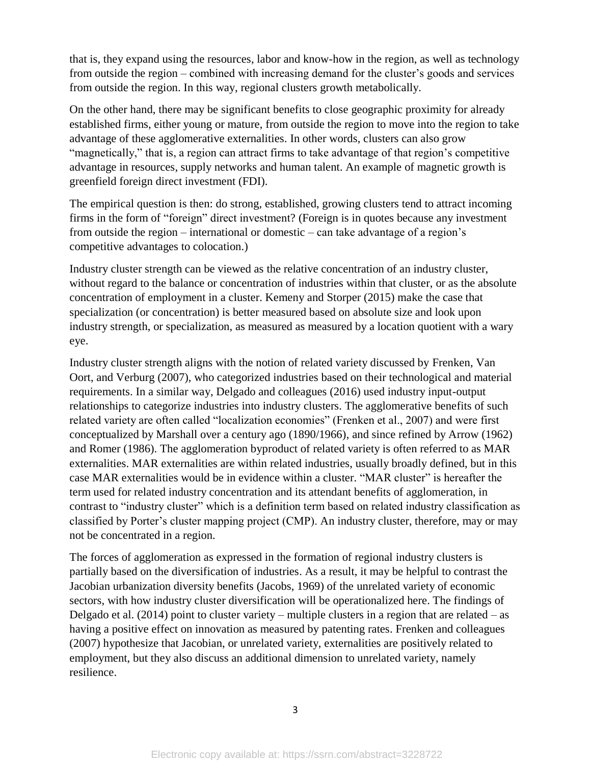that is, they expand using the resources, labor and know-how in the region, as well as technology from outside the region – combined with increasing demand for the cluster's goods and services from outside the region. In this way, regional clusters growth metabolically.

On the other hand, there may be significant benefits to close geographic proximity for already established firms, either young or mature, from outside the region to move into the region to take advantage of these agglomerative externalities. In other words, clusters can also grow "magnetically," that is, a region can attract firms to take advantage of that region's competitive advantage in resources, supply networks and human talent. An example of magnetic growth is greenfield foreign direct investment (FDI).

The empirical question is then: do strong, established, growing clusters tend to attract incoming firms in the form of "foreign" direct investment? (Foreign is in quotes because any investment from outside the region – international or domestic – can take advantage of a region's competitive advantages to colocation.)

Industry cluster strength can be viewed as the relative concentration of an industry cluster, without regard to the balance or concentration of industries within that cluster, or as the absolute concentration of employment in a cluster. Kemeny and Storper (2015) make the case that specialization (or concentration) is better measured based on absolute size and look upon industry strength, or specialization, as measured as measured by a location quotient with a wary eye.

Industry cluster strength aligns with the notion of related variety discussed by Frenken, Van Oort, and Verburg (2007), who categorized industries based on their technological and material requirements. In a similar way, Delgado and colleagues (2016) used industry input-output relationships to categorize industries into industry clusters. The agglomerative benefits of such related variety are often called "localization economies" (Frenken et al., 2007) and were first conceptualized by Marshall over a century ago (1890/1966), and since refined by Arrow (1962) and Romer (1986). The agglomeration byproduct of related variety is often referred to as MAR externalities. MAR externalities are within related industries, usually broadly defined, but in this case MAR externalities would be in evidence within a cluster. "MAR cluster" is hereafter the term used for related industry concentration and its attendant benefits of agglomeration, in contrast to "industry cluster" which is a definition term based on related industry classification as classified by Porter's cluster mapping project (CMP). An industry cluster, therefore, may or may not be concentrated in a region.

The forces of agglomeration as expressed in the formation of regional industry clusters is partially based on the diversification of industries. As a result, it may be helpful to contrast the Jacobian urbanization diversity benefits (Jacobs, 1969) of the unrelated variety of economic sectors, with how industry cluster diversification will be operationalized here. The findings of Delgado et al. (2014) point to cluster variety – multiple clusters in a region that are related – as having a positive effect on innovation as measured by patenting rates. Frenken and colleagues (2007) hypothesize that Jacobian, or unrelated variety, externalities are positively related to employment, but they also discuss an additional dimension to unrelated variety, namely resilience.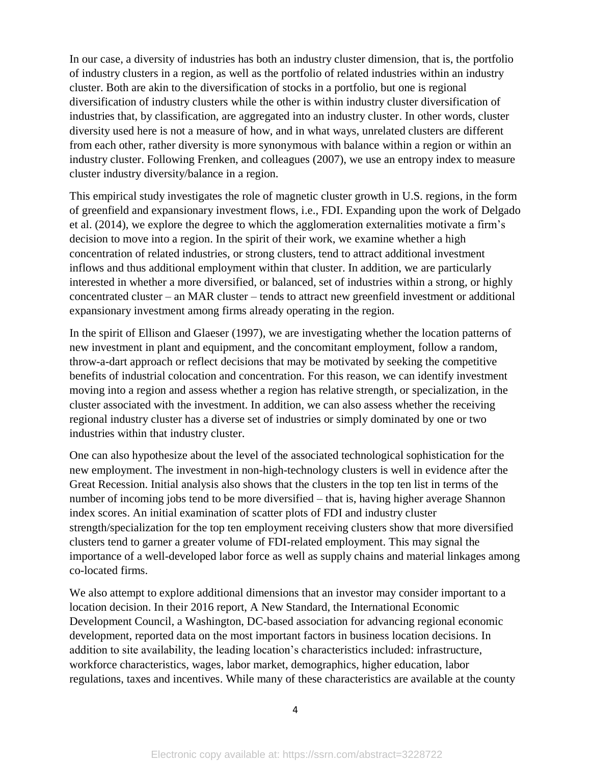In our case, a diversity of industries has both an industry cluster dimension, that is, the portfolio of industry clusters in a region, as well as the portfolio of related industries within an industry cluster. Both are akin to the diversification of stocks in a portfolio, but one is regional diversification of industry clusters while the other is within industry cluster diversification of industries that, by classification, are aggregated into an industry cluster. In other words, cluster diversity used here is not a measure of how, and in what ways, unrelated clusters are different from each other, rather diversity is more synonymous with balance within a region or within an industry cluster. Following Frenken, and colleagues (2007), we use an entropy index to measure cluster industry diversity/balance in a region.

This empirical study investigates the role of magnetic cluster growth in U.S. regions, in the form of greenfield and expansionary investment flows, i.e., FDI. Expanding upon the work of Delgado et al. (2014), we explore the degree to which the agglomeration externalities motivate a firm's decision to move into a region. In the spirit of their work, we examine whether a high concentration of related industries, or strong clusters, tend to attract additional investment inflows and thus additional employment within that cluster. In addition, we are particularly interested in whether a more diversified, or balanced, set of industries within a strong, or highly concentrated cluster – an MAR cluster – tends to attract new greenfield investment or additional expansionary investment among firms already operating in the region.

In the spirit of Ellison and Glaeser (1997), we are investigating whether the location patterns of new investment in plant and equipment, and the concomitant employment, follow a random, throw-a-dart approach or reflect decisions that may be motivated by seeking the competitive benefits of industrial colocation and concentration. For this reason, we can identify investment moving into a region and assess whether a region has relative strength, or specialization, in the cluster associated with the investment. In addition, we can also assess whether the receiving regional industry cluster has a diverse set of industries or simply dominated by one or two industries within that industry cluster.

One can also hypothesize about the level of the associated technological sophistication for the new employment. The investment in non-high-technology clusters is well in evidence after the Great Recession. Initial analysis also shows that the clusters in the top ten list in terms of the number of incoming jobs tend to be more diversified – that is, having higher average Shannon index scores. An initial examination of scatter plots of FDI and industry cluster strength/specialization for the top ten employment receiving clusters show that more diversified clusters tend to garner a greater volume of FDI-related employment. This may signal the importance of a well-developed labor force as well as supply chains and material linkages among co-located firms.

We also attempt to explore additional dimensions that an investor may consider important to a location decision. In their 2016 report, A New Standard, the International Economic Development Council, a Washington, DC-based association for advancing regional economic development, reported data on the most important factors in business location decisions. In addition to site availability, the leading location's characteristics included: infrastructure, workforce characteristics, wages, labor market, demographics, higher education, labor regulations, taxes and incentives. While many of these characteristics are available at the county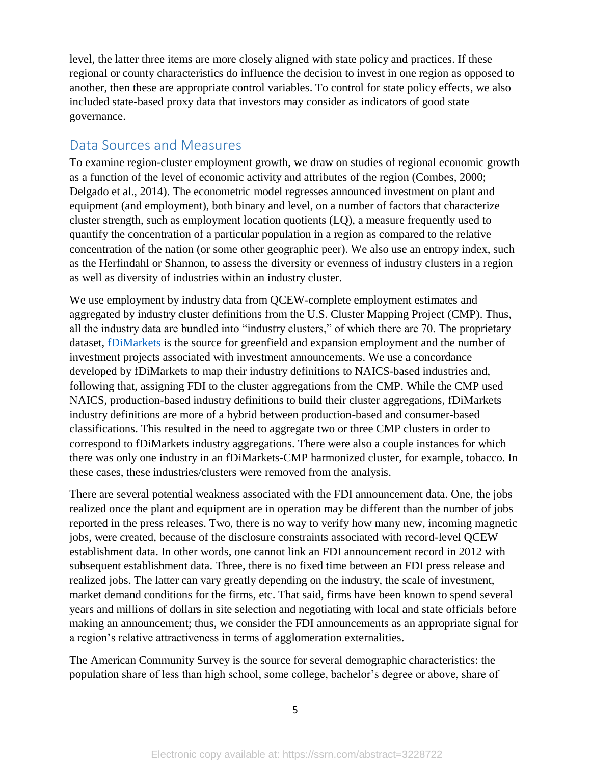level, the latter three items are more closely aligned with state policy and practices. If these regional or county characteristics do influence the decision to invest in one region as opposed to another, then these are appropriate control variables. To control for state policy effects, we also included state-based proxy data that investors may consider as indicators of good state governance.

## Data Sources and Measures

To examine region-cluster employment growth, we draw on studies of regional economic growth as a function of the level of economic activity and attributes of the region (Combes, 2000; Delgado et al., 2014). The econometric model regresses announced investment on plant and equipment (and employment), both binary and level, on a number of factors that characterize cluster strength, such as employment location quotients (LQ), a measure frequently used to quantify the concentration of a particular population in a region as compared to the relative concentration of the nation (or some other geographic peer). We also use an entropy index, such as the Herfindahl or Shannon, to assess the diversity or evenness of industry clusters in a region as well as diversity of industries within an industry cluster.

We use employment by industry data from QCEW-complete employment estimates and aggregated by industry cluster definitions from the U.S. Cluster Mapping Project (CMP). Thus, all the industry data are bundled into "industry clusters," of which there are 70. The proprietary dataset, [fDiMarkets](http://www.fdimarkets.com/) is the source for greenfield and expansion employment and the number of investment projects associated with investment announcements. We use a concordance developed by fDiMarkets to map their industry definitions to NAICS-based industries and, following that, assigning FDI to the cluster aggregations from the CMP. While the CMP used NAICS, production-based industry definitions to build their cluster aggregations, fDiMarkets industry definitions are more of a hybrid between production-based and consumer-based classifications. This resulted in the need to aggregate two or three CMP clusters in order to correspond to fDiMarkets industry aggregations. There were also a couple instances for which there was only one industry in an fDiMarkets-CMP harmonized cluster, for example, tobacco. In these cases, these industries/clusters were removed from the analysis.

There are several potential weakness associated with the FDI announcement data. One, the jobs realized once the plant and equipment are in operation may be different than the number of jobs reported in the press releases. Two, there is no way to verify how many new, incoming magnetic jobs, were created, because of the disclosure constraints associated with record-level QCEW establishment data. In other words, one cannot link an FDI announcement record in 2012 with subsequent establishment data. Three, there is no fixed time between an FDI press release and realized jobs. The latter can vary greatly depending on the industry, the scale of investment, market demand conditions for the firms, etc. That said, firms have been known to spend several years and millions of dollars in site selection and negotiating with local and state officials before making an announcement; thus, we consider the FDI announcements as an appropriate signal for a region's relative attractiveness in terms of agglomeration externalities.

The American Community Survey is the source for several demographic characteristics: the population share of less than high school, some college, bachelor's degree or above, share of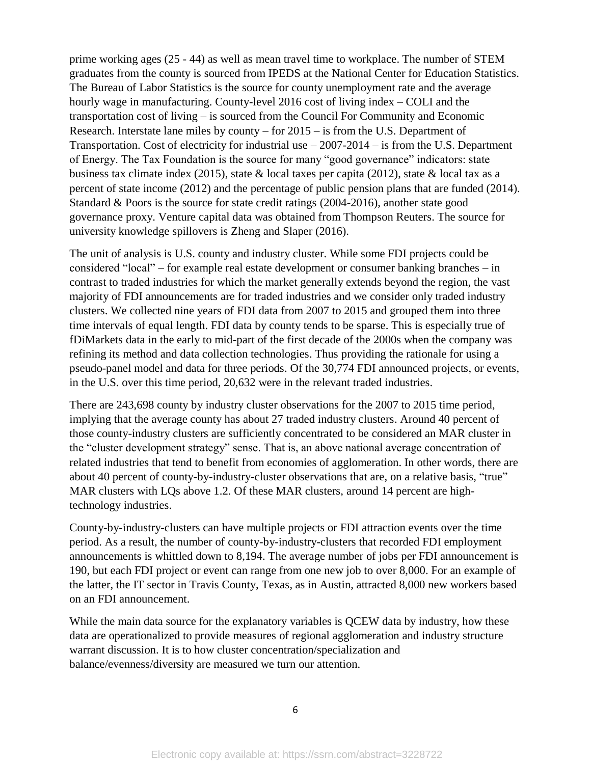prime working ages (25 - 44) as well as mean travel time to workplace. The number of STEM graduates from the county is sourced from IPEDS at the National Center for Education Statistics. The Bureau of Labor Statistics is the source for county unemployment rate and the average hourly wage in manufacturing. County-level 2016 cost of living index – COLI and the transportation cost of living – is sourced from the Council For Community and Economic Research. Interstate lane miles by county – for 2015 – is from the U.S. Department of Transportation. Cost of electricity for industrial use – 2007-2014 – is from the U.S. Department of Energy. The Tax Foundation is the source for many "good governance" indicators: state business tax climate index (2015), state & local taxes per capita (2012), state & local tax as a percent of state income (2012) and the percentage of public pension plans that are funded (2014). Standard & Poors is the source for state credit ratings (2004-2016), another state good governance proxy. Venture capital data was obtained from Thompson Reuters. The source for university knowledge spillovers is Zheng and Slaper (2016).

The unit of analysis is U.S. county and industry cluster. While some FDI projects could be considered "local" – for example real estate development or consumer banking branches – in contrast to traded industries for which the market generally extends beyond the region, the vast majority of FDI announcements are for traded industries and we consider only traded industry clusters. We collected nine years of FDI data from 2007 to 2015 and grouped them into three time intervals of equal length. FDI data by county tends to be sparse. This is especially true of fDiMarkets data in the early to mid-part of the first decade of the 2000s when the company was refining its method and data collection technologies. Thus providing the rationale for using a pseudo-panel model and data for three periods. Of the 30,774 FDI announced projects, or events, in the U.S. over this time period, 20,632 were in the relevant traded industries.

There are 243,698 county by industry cluster observations for the 2007 to 2015 time period, implying that the average county has about 27 traded industry clusters. Around 40 percent of those county-industry clusters are sufficiently concentrated to be considered an MAR cluster in the "cluster development strategy" sense. That is, an above national average concentration of related industries that tend to benefit from economies of agglomeration. In other words, there are about 40 percent of county-by-industry-cluster observations that are, on a relative basis, "true" MAR clusters with LQs above 1.2. Of these MAR clusters, around 14 percent are hightechnology industries.

County-by-industry-clusters can have multiple projects or FDI attraction events over the time period. As a result, the number of county-by-industry-clusters that recorded FDI employment announcements is whittled down to 8,194. The average number of jobs per FDI announcement is 190, but each FDI project or event can range from one new job to over 8,000. For an example of the latter, the IT sector in Travis County, Texas, as in Austin, attracted 8,000 new workers based on an FDI announcement.

While the main data source for the explanatory variables is QCEW data by industry, how these data are operationalized to provide measures of regional agglomeration and industry structure warrant discussion. It is to how cluster concentration/specialization and balance/evenness/diversity are measured we turn our attention.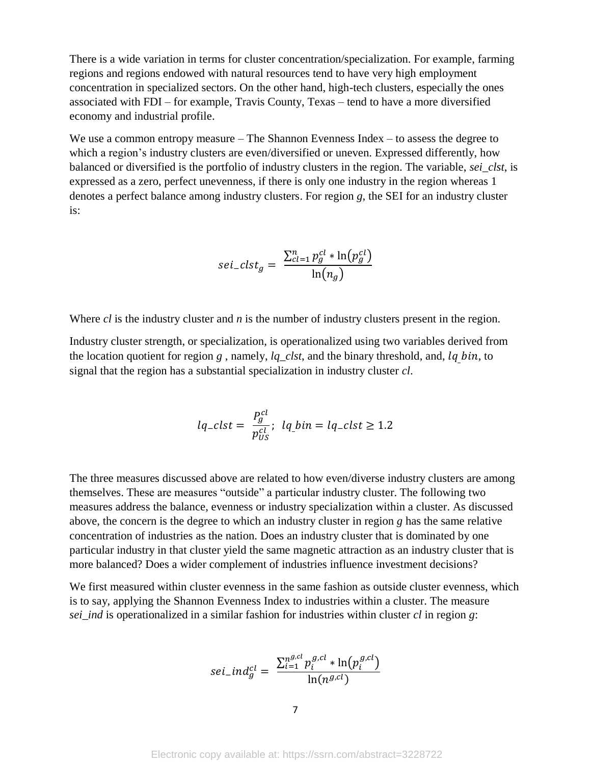There is a wide variation in terms for cluster concentration/specialization. For example, farming regions and regions endowed with natural resources tend to have very high employment concentration in specialized sectors. On the other hand, high-tech clusters, especially the ones associated with FDI – for example, Travis County, Texas – tend to have a more diversified economy and industrial profile.

We use a common entropy measure – The Shannon Evenness Index – to assess the degree to which a region's industry clusters are even/diversified or uneven. Expressed differently, how balanced or diversified is the portfolio of industry clusters in the region. The variable, *sei\_clst*, is expressed as a zero, perfect unevenness, if there is only one industry in the region whereas 1 denotes a perfect balance among industry clusters. For region *g*, the SEI for an industry cluster is:

$$
sei\_clst_g = \frac{\sum_{cl=1}^{n} p_g^{cl} * \ln(p_g^{cl})}{\ln(n_g)}
$$

Where *cl* is the industry cluster and *n* is the number of industry clusters present in the region.

Industry cluster strength, or specialization, is operationalized using two variables derived from the location quotient for region  $g$ , namely,  $lq_{clst}$ , and the binary threshold, and,  $lq$  bin, to signal that the region has a substantial specialization in industry cluster *cl*.

$$
lq_{\text{--}}clst = \frac{P_g^{cl}}{p_{US}^{cl}}; \ \ lq_{\text{--}}bin = lq_{\text{--}}clst \ge 1.2
$$

The three measures discussed above are related to how even/diverse industry clusters are among themselves. These are measures "outside" a particular industry cluster. The following two measures address the balance, evenness or industry specialization within a cluster. As discussed above, the concern is the degree to which an industry cluster in region *g* has the same relative concentration of industries as the nation. Does an industry cluster that is dominated by one particular industry in that cluster yield the same magnetic attraction as an industry cluster that is more balanced? Does a wider complement of industries influence investment decisions?

We first measured within cluster evenness in the same fashion as outside cluster evenness, which is to say, applying the Shannon Evenness Index to industries within a cluster. The measure *sei\_ind* is operationalized in a similar fashion for industries within cluster *cl* in region *g*:

$$
sei\_ind_g^{cl} = \frac{\sum_{i=1}^{n_g,cl} p_i^{g,cl} * \ln(p_i^{g,cl})}{\ln(n^{g,cl})}
$$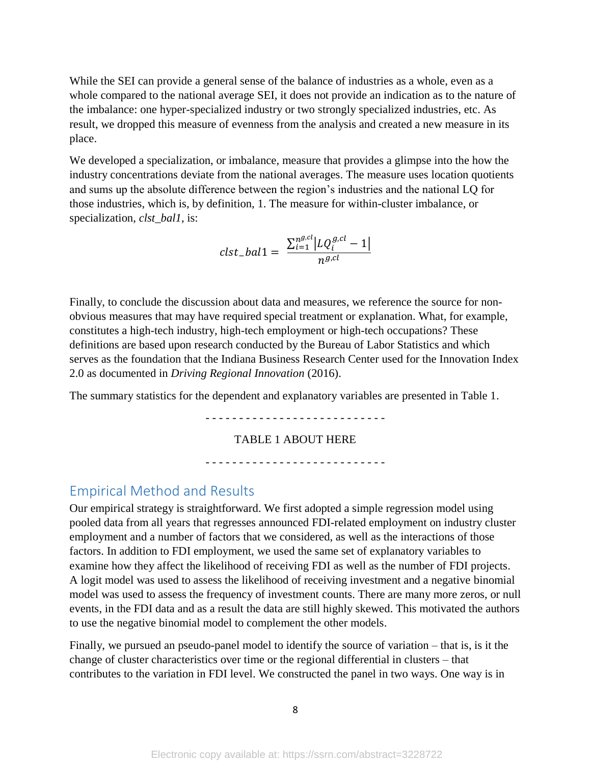While the SEI can provide a general sense of the balance of industries as a whole, even as a whole compared to the national average SEI, it does not provide an indication as to the nature of the imbalance: one hyper-specialized industry or two strongly specialized industries, etc. As result, we dropped this measure of evenness from the analysis and created a new measure in its place.

We developed a specialization, or imbalance, measure that provides a glimpse into the how the industry concentrations deviate from the national averages. The measure uses location quotients and sums up the absolute difference between the region's industries and the national LQ for those industries, which is, by definition, 1. The measure for within-cluster imbalance, or specialization, *clst\_bal1*, is:

$$
clst\_bal1 = \frac{\sum_{i=1}^{n_g,cl} |LQ_i^{g,cl} - 1|}{n^{g,cl}}
$$

Finally, to conclude the discussion about data and measures, we reference the source for nonobvious measures that may have required special treatment or explanation. What, for example, constitutes a high-tech industry, high-tech employment or high-tech occupations? These definitions are based upon research conducted by the Bureau of Labor Statistics and which serves as the foundation that the Indiana Business Research Center used for the Innovation Index 2.0 as documented in *Driving Regional Innovation* (2016).

The summary statistics for the dependent and explanatory variables are presented in Table 1.

- - - - - - - - - - - - - - - - - - - - - - - - - - -

TABLE 1 ABOUT HERE

- - - - - - - - - - - - - - - - - - - - - - - - - - -

## Empirical Method and Results

Our empirical strategy is straightforward. We first adopted a simple regression model using pooled data from all years that regresses announced FDI-related employment on industry cluster employment and a number of factors that we considered, as well as the interactions of those factors. In addition to FDI employment, we used the same set of explanatory variables to examine how they affect the likelihood of receiving FDI as well as the number of FDI projects. A logit model was used to assess the likelihood of receiving investment and a negative binomial model was used to assess the frequency of investment counts. There are many more zeros, or null events, in the FDI data and as a result the data are still highly skewed. This motivated the authors to use the negative binomial model to complement the other models.

Finally, we pursued an pseudo-panel model to identify the source of variation – that is, is it the change of cluster characteristics over time or the regional differential in clusters – that contributes to the variation in FDI level. We constructed the panel in two ways. One way is in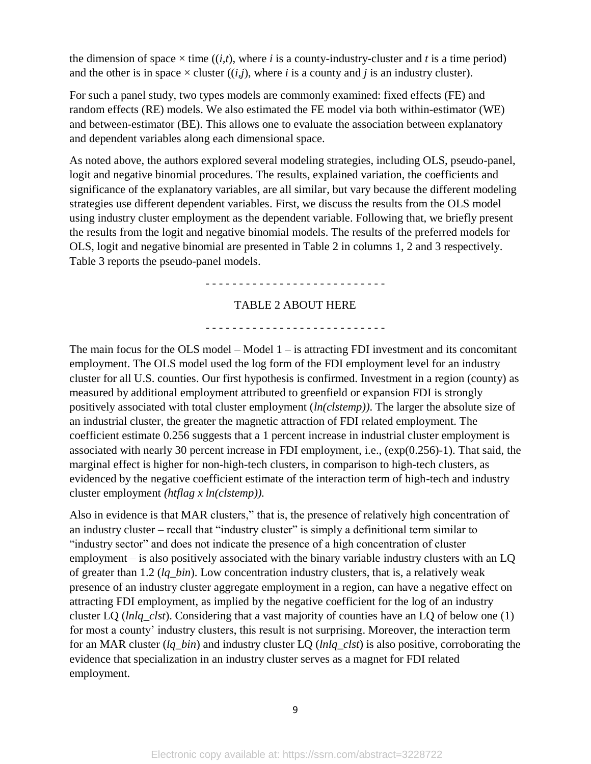the dimension of space  $\times$  time  $((i,t)$ , where *i* is a county-industry-cluster and *t* is a time period) and the other is in space  $\times$  cluster  $((i,j))$ , where *i* is a county and *j* is an industry cluster).

For such a panel study, two types models are commonly examined: fixed effects (FE) and random effects (RE) models. We also estimated the FE model via both within-estimator (WE) and between-estimator (BE). This allows one to evaluate the association between explanatory and dependent variables along each dimensional space.

As noted above, the authors explored several modeling strategies, including OLS, pseudo-panel, logit and negative binomial procedures. The results, explained variation, the coefficients and significance of the explanatory variables, are all similar, but vary because the different modeling strategies use different dependent variables. First, we discuss the results from the OLS model using industry cluster employment as the dependent variable. Following that, we briefly present the results from the logit and negative binomial models. The results of the preferred models for OLS, logit and negative binomial are presented in Table 2 in columns 1, 2 and 3 respectively. Table 3 reports the pseudo-panel models.

- - - - - - - - - - - - - - - - - - - - - - - - - - -

#### TABLE 2 ABOUT HERE

The main focus for the OLS model – Model  $1 -$  is attracting FDI investment and its concomitant employment. The OLS model used the log form of the FDI employment level for an industry cluster for all U.S. counties. Our first hypothesis is confirmed. Investment in a region (county) as measured by additional employment attributed to greenfield or expansion FDI is strongly positively associated with total cluster employment (*ln(clstemp))*. The larger the absolute size of an industrial cluster, the greater the magnetic attraction of FDI related employment. The coefficient estimate 0.256 suggests that a 1 percent increase in industrial cluster employment is associated with nearly 30 percent increase in FDI employment, i.e., (exp(0.256)-1). That said, the marginal effect is higher for non-high-tech clusters, in comparison to high-tech clusters, as evidenced by the negative coefficient estimate of the interaction term of high-tech and industry cluster employment *(htflag x ln(clstemp)).*

Also in evidence is that MAR clusters," that is, the presence of relatively high concentration of an industry cluster – recall that "industry cluster" is simply a definitional term similar to "industry sector" and does not indicate the presence of a high concentration of cluster employment – is also positively associated with the binary variable industry clusters with an LQ of greater than 1.2 (*lq\_bin*). Low concentration industry clusters, that is, a relatively weak presence of an industry cluster aggregate employment in a region, can have a negative effect on attracting FDI employment, as implied by the negative coefficient for the log of an industry cluster LQ (*lnlq\_clst*). Considering that a vast majority of counties have an LQ of below one (1) for most a county' industry clusters, this result is not surprising. Moreover, the interaction term for an MAR cluster (*lq\_bin*) and industry cluster LQ (*lnlq\_clst*) is also positive, corroborating the evidence that specialization in an industry cluster serves as a magnet for FDI related employment.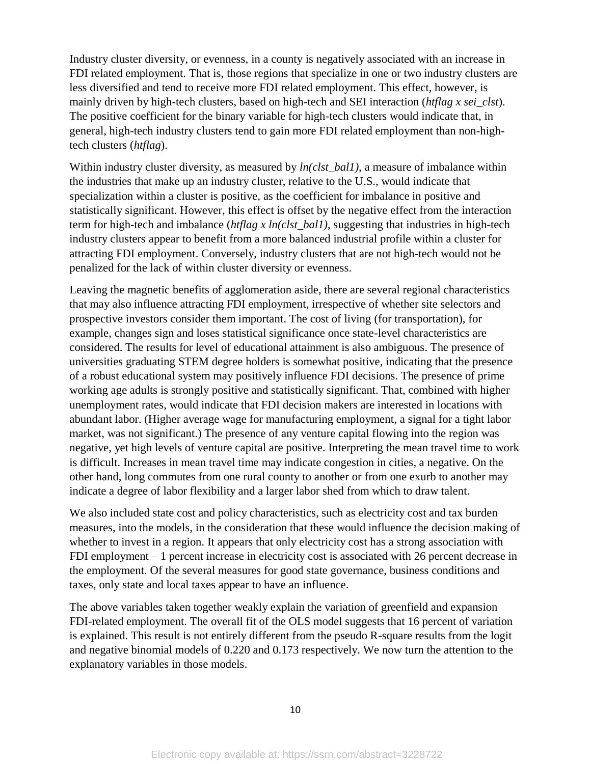Industry cluster diversity, or evenness, in a county is negatively associated with an increase in FDI related employment. That is, those regions that specialize in one or two industry clusters are less diversified and tend to receive more FDI related employment. This effect, however, is mainly driven by high-tech clusters, based on high-tech and SEI interaction (*htflag x sei\_clst*). The positive coefficient for the binary variable for high-tech clusters would indicate that, in general, high-tech industry clusters tend to gain more FDI related employment than non-hightech clusters (*htflag*).

Within industry cluster diversity, as measured by *ln(clst\_bal1)*, a measure of imbalance within the industries that make up an industry cluster, relative to the U.S., would indicate that specialization within a cluster is positive, as the coefficient for imbalance in positive and statistically significant. However, this effect is offset by the negative effect from the interaction term for high-tech and imbalance (*htflag x ln(clst\_bal1)*, suggesting that industries in high-tech industry clusters appear to benefit from a more balanced industrial profile within a cluster for attracting FDI employment. Conversely, industry clusters that are not high-tech would not be penalized for the lack of within cluster diversity or evenness.

Leaving the magnetic benefits of agglomeration aside, there are several regional characteristics that may also influence attracting FDI employment, irrespective of whether site selectors and prospective investors consider them important. The cost of living (for transportation), for example, changes sign and loses statistical significance once state-level characteristics are considered. The results for level of educational attainment is also ambiguous. The presence of universities graduating STEM degree holders is somewhat positive, indicating that the presence of a robust educational system may positively influence FDI decisions. The presence of prime working age adults is strongly positive and statistically significant. That, combined with higher unemployment rates, would indicate that FDI decision makers are interested in locations with abundant labor. (Higher average wage for manufacturing employment, a signal for a tight labor market, was not significant.) The presence of any venture capital flowing into the region was negative, yet high levels of venture capital are positive. Interpreting the mean travel time to work is difficult. Increases in mean travel time may indicate congestion in cities, a negative. On the other hand, long commutes from one rural county to another or from one exurb to another may indicate a degree of labor flexibility and a larger labor shed from which to draw talent.

We also included state cost and policy characteristics, such as electricity cost and tax burden measures, into the models, in the consideration that these would influence the decision making of whether to invest in a region. It appears that only electricity cost has a strong association with FDI employment – 1 percent increase in electricity cost is associated with 26 percent decrease in the employment. Of the several measures for good state governance, business conditions and taxes, only state and local taxes appear to have an influence.

The above variables taken together weakly explain the variation of greenfield and expansion FDI-related employment. The overall fit of the OLS model suggests that 16 percent of variation is explained. This result is not entirely different from the pseudo R-square results from the logit and negative binomial models of 0.220 and 0.173 respectively. We now turn the attention to the explanatory variables in those models.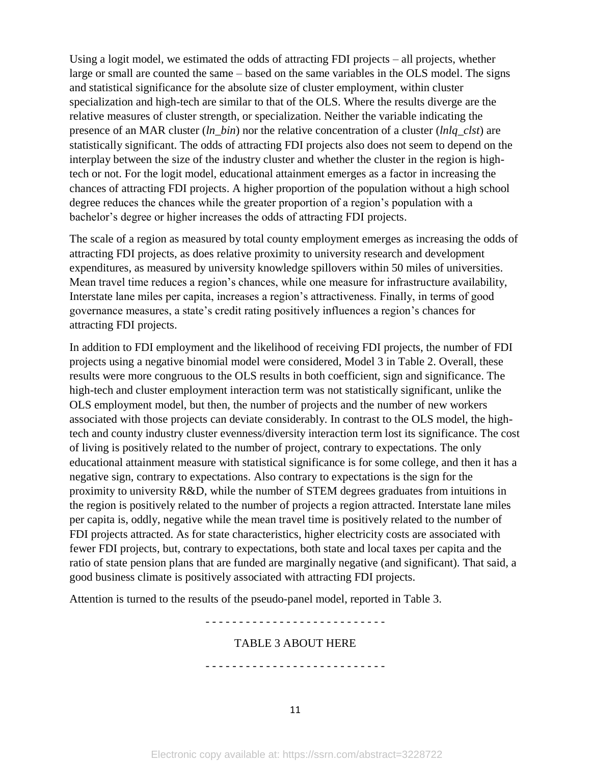Using a logit model, we estimated the odds of attracting FDI projects – all projects, whether large or small are counted the same – based on the same variables in the OLS model. The signs and statistical significance for the absolute size of cluster employment, within cluster specialization and high-tech are similar to that of the OLS. Where the results diverge are the relative measures of cluster strength, or specialization. Neither the variable indicating the presence of an MAR cluster (*ln\_bin*) nor the relative concentration of a cluster (*lnlq\_clst*) are statistically significant. The odds of attracting FDI projects also does not seem to depend on the interplay between the size of the industry cluster and whether the cluster in the region is hightech or not. For the logit model, educational attainment emerges as a factor in increasing the chances of attracting FDI projects. A higher proportion of the population without a high school degree reduces the chances while the greater proportion of a region's population with a bachelor's degree or higher increases the odds of attracting FDI projects.

The scale of a region as measured by total county employment emerges as increasing the odds of attracting FDI projects, as does relative proximity to university research and development expenditures, as measured by university knowledge spillovers within 50 miles of universities. Mean travel time reduces a region's chances, while one measure for infrastructure availability, Interstate lane miles per capita, increases a region's attractiveness. Finally, in terms of good governance measures, a state's credit rating positively influences a region's chances for attracting FDI projects.

In addition to FDI employment and the likelihood of receiving FDI projects, the number of FDI projects using a negative binomial model were considered, Model 3 in Table 2. Overall, these results were more congruous to the OLS results in both coefficient, sign and significance. The high-tech and cluster employment interaction term was not statistically significant, unlike the OLS employment model, but then, the number of projects and the number of new workers associated with those projects can deviate considerably. In contrast to the OLS model, the hightech and county industry cluster evenness/diversity interaction term lost its significance. The cost of living is positively related to the number of project, contrary to expectations. The only educational attainment measure with statistical significance is for some college, and then it has a negative sign, contrary to expectations. Also contrary to expectations is the sign for the proximity to university R&D, while the number of STEM degrees graduates from intuitions in the region is positively related to the number of projects a region attracted. Interstate lane miles per capita is, oddly, negative while the mean travel time is positively related to the number of FDI projects attracted. As for state characteristics, higher electricity costs are associated with fewer FDI projects, but, contrary to expectations, both state and local taxes per capita and the ratio of state pension plans that are funded are marginally negative (and significant). That said, a good business climate is positively associated with attracting FDI projects.

Attention is turned to the results of the pseudo-panel model, reported in Table 3.

- - - - - - - - - - - - - - - - - - - - - - - - - - -

#### TABLE 3 ABOUT HERE

- - - - - - - - - - - - - - - - - - - - - - - - - - -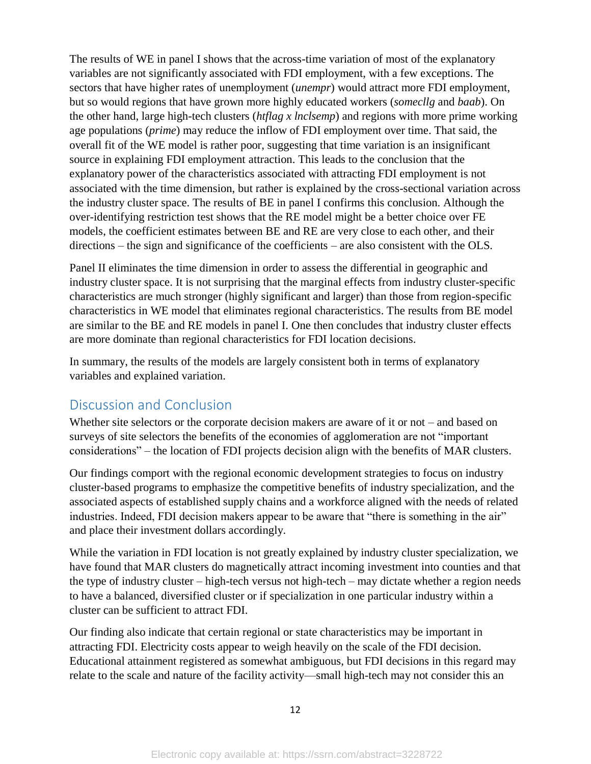The results of WE in panel I shows that the across-time variation of most of the explanatory variables are not significantly associated with FDI employment, with a few exceptions. The sectors that have higher rates of unemployment (*unempr*) would attract more FDI employment, but so would regions that have grown more highly educated workers (*somecllg* and *baab*). On the other hand, large high-tech clusters (*htflag x lnclsemp*) and regions with more prime working age populations (*prime*) may reduce the inflow of FDI employment over time. That said, the overall fit of the WE model is rather poor, suggesting that time variation is an insignificant source in explaining FDI employment attraction. This leads to the conclusion that the explanatory power of the characteristics associated with attracting FDI employment is not associated with the time dimension, but rather is explained by the cross-sectional variation across the industry cluster space. The results of BE in panel I confirms this conclusion. Although the over-identifying restriction test shows that the RE model might be a better choice over FE models, the coefficient estimates between BE and RE are very close to each other, and their directions – the sign and significance of the coefficients – are also consistent with the OLS.

Panel II eliminates the time dimension in order to assess the differential in geographic and industry cluster space. It is not surprising that the marginal effects from industry cluster-specific characteristics are much stronger (highly significant and larger) than those from region-specific characteristics in WE model that eliminates regional characteristics. The results from BE model are similar to the BE and RE models in panel I. One then concludes that industry cluster effects are more dominate than regional characteristics for FDI location decisions.

In summary, the results of the models are largely consistent both in terms of explanatory variables and explained variation.

## Discussion and Conclusion

Whether site selectors or the corporate decision makers are aware of it or not – and based on surveys of site selectors the benefits of the economies of agglomeration are not "important considerations" – the location of FDI projects decision align with the benefits of MAR clusters.

Our findings comport with the regional economic development strategies to focus on industry cluster-based programs to emphasize the competitive benefits of industry specialization, and the associated aspects of established supply chains and a workforce aligned with the needs of related industries. Indeed, FDI decision makers appear to be aware that "there is something in the air" and place their investment dollars accordingly.

While the variation in FDI location is not greatly explained by industry cluster specialization, we have found that MAR clusters do magnetically attract incoming investment into counties and that the type of industry cluster – high-tech versus not high-tech – may dictate whether a region needs to have a balanced, diversified cluster or if specialization in one particular industry within a cluster can be sufficient to attract FDI.

Our finding also indicate that certain regional or state characteristics may be important in attracting FDI. Electricity costs appear to weigh heavily on the scale of the FDI decision. Educational attainment registered as somewhat ambiguous, but FDI decisions in this regard may relate to the scale and nature of the facility activity—small high-tech may not consider this an

<sup>12</sup>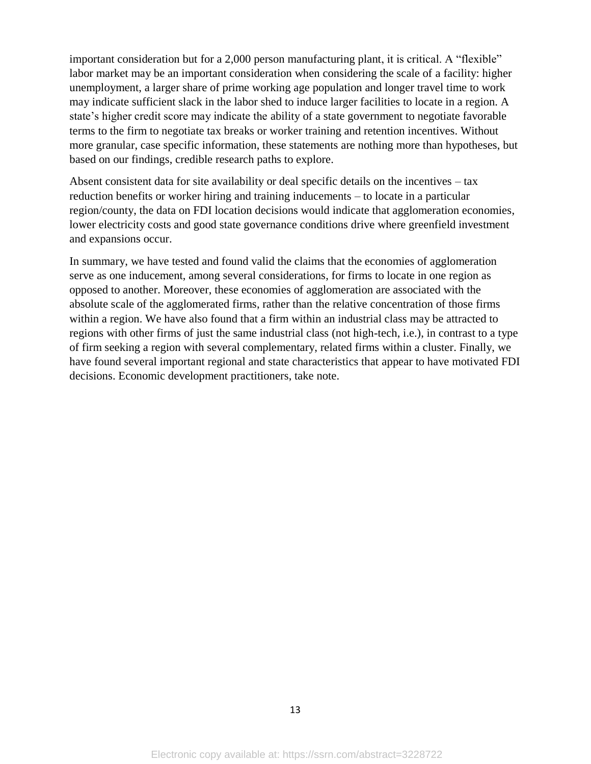important consideration but for a 2,000 person manufacturing plant, it is critical. A "flexible" labor market may be an important consideration when considering the scale of a facility: higher unemployment, a larger share of prime working age population and longer travel time to work may indicate sufficient slack in the labor shed to induce larger facilities to locate in a region. A state's higher credit score may indicate the ability of a state government to negotiate favorable terms to the firm to negotiate tax breaks or worker training and retention incentives. Without more granular, case specific information, these statements are nothing more than hypotheses, but based on our findings, credible research paths to explore.

Absent consistent data for site availability or deal specific details on the incentives – tax reduction benefits or worker hiring and training inducements – to locate in a particular region/county, the data on FDI location decisions would indicate that agglomeration economies, lower electricity costs and good state governance conditions drive where greenfield investment and expansions occur.

In summary, we have tested and found valid the claims that the economies of agglomeration serve as one inducement, among several considerations, for firms to locate in one region as opposed to another. Moreover, these economies of agglomeration are associated with the absolute scale of the agglomerated firms, rather than the relative concentration of those firms within a region. We have also found that a firm within an industrial class may be attracted to regions with other firms of just the same industrial class (not high-tech, i.e.), in contrast to a type of firm seeking a region with several complementary, related firms within a cluster. Finally, we have found several important regional and state characteristics that appear to have motivated FDI decisions. Economic development practitioners, take note.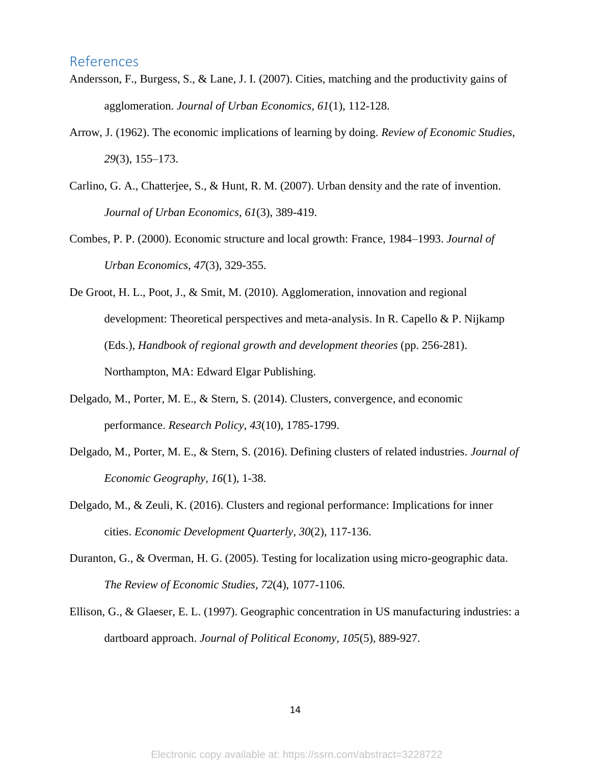## References

- Andersson, F., Burgess, S., & Lane, J. I. (2007). Cities, matching and the productivity gains of agglomeration. *Journal of Urban Economics, 61*(1), 112-128.
- Arrow, J. (1962). The economic implications of learning by doing. *Review of Economic Studies, 29*(3), 155–173.
- Carlino, G. A., Chatterjee, S., & Hunt, R. M. (2007). Urban density and the rate of invention. *Journal of Urban Economics, 61*(3), 389-419.
- Combes, P. P. (2000). Economic structure and local growth: France, 1984–1993. *Journal of Urban Economics*, *47*(3), 329-355.
- De Groot, H. L., Poot, J., & Smit, M. (2010). Agglomeration, innovation and regional development: Theoretical perspectives and meta-analysis. In R. Capello & P. Nijkamp (Eds.), *Handbook of regional growth and development theories* (pp. 256-281). Northampton, MA: Edward Elgar Publishing.
- Delgado, M., Porter, M. E., & Stern, S. (2014). Clusters, convergence, and economic performance. *Research Policy*, *43*(10), 1785-1799.
- Delgado, M., Porter, M. E., & Stern, S. (2016). Defining clusters of related industries. *Journal of Economic Geography, 16*(1), 1-38.
- Delgado, M., & Zeuli, K. (2016). Clusters and regional performance: Implications for inner cities. *Economic Development Quarterly, 30*(2), 117-136.
- Duranton, G., & Overman, H. G. (2005). Testing for localization using micro-geographic data. *The Review of Economic Studies, 72*(4), 1077-1106.
- Ellison, G., & Glaeser, E. L. (1997). Geographic concentration in US manufacturing industries: a dartboard approach. *Journal of Political Economy, 105*(5), 889-927.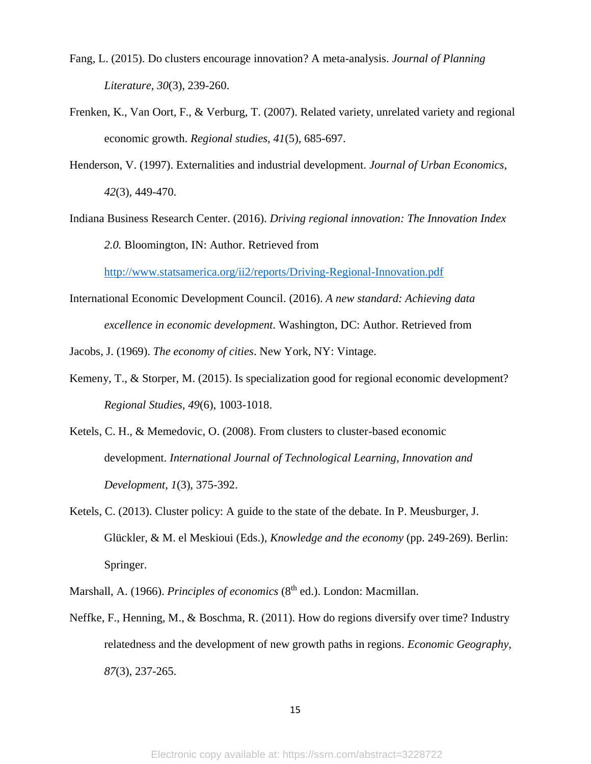- Fang, L. (2015). Do clusters encourage innovation? A meta-analysis. *Journal of Planning Literature, 30*(3), 239-260.
- Frenken, K., Van Oort, F., & Verburg, T. (2007). Related variety, unrelated variety and regional economic growth. *Regional studies, 41*(5), 685-697.
- Henderson, V. (1997). Externalities and industrial development. *Journal of Urban Economics*, *42*(3), 449-470.
- Indiana Business Research Center. (2016). *Driving regional innovation: The Innovation Index 2.0.* Bloomington, IN: Author. Retrieved from

<http://www.statsamerica.org/ii2/reports/Driving-Regional-Innovation.pdf>

International Economic Development Council. (2016). *A new standard: Achieving data excellence in economic development.* Washington, DC: Author. Retrieved from

Jacobs, J. (1969). *The economy of cities*. New York, NY: Vintage.

- Kemeny, T., & Storper, M. (2015). Is specialization good for regional economic development? *Regional Studies, 49*(6), 1003-1018.
- Ketels, C. H., & Memedovic, O. (2008). From clusters to cluster-based economic development. *International Journal of Technological Learning, Innovation and Development*, *1*(3), 375-392.
- Ketels, C. (2013). Cluster policy: A guide to the state of the debate. In P. Meusburger, J. Glückler, & M. el Meskioui (Eds.), *Knowledge and the economy* (pp. 249-269). Berlin: Springer.

Marshall, A. (1966). *Principles of economics* (8<sup>th</sup> ed.). London: Macmillan.

Neffke, F., Henning, M., & Boschma, R. (2011). How do regions diversify over time? Industry relatedness and the development of new growth paths in regions. *Economic Geography, 87*(3), 237-265.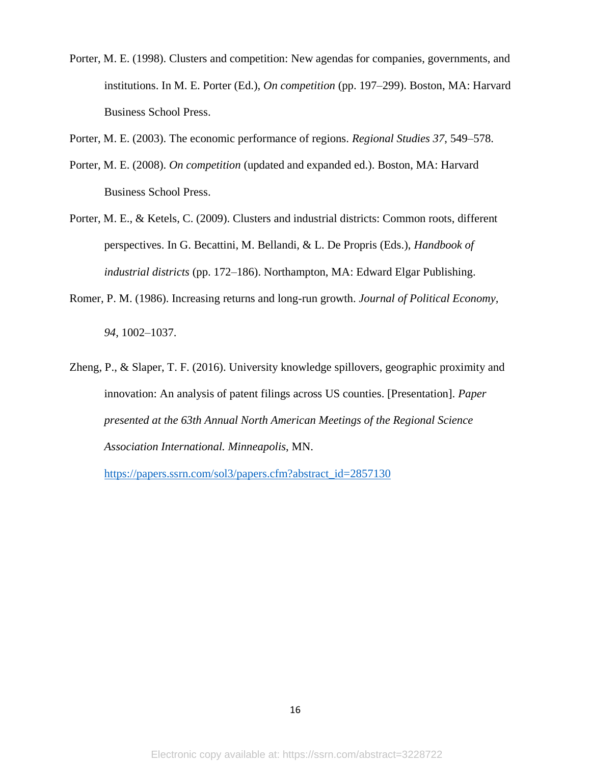- Porter, M. E. (1998). Clusters and competition: New agendas for companies, governments, and institutions. In M. E. Porter (Ed.), *On competition* (pp. 197–299). Boston, MA: Harvard Business School Press.
- Porter, M. E. (2003). The economic performance of regions. *Regional Studies 37*, 549–578.
- Porter, M. E. (2008). *On competition* (updated and expanded ed.). Boston, MA: Harvard Business School Press.
- Porter, M. E., & Ketels, C. (2009). Clusters and industrial districts: Common roots, different perspectives. In G. Becattini, M. Bellandi, & L. De Propris (Eds.), *Handbook of industrial districts* (pp. 172–186). Northampton, MA: Edward Elgar Publishing.
- Romer, P. M. (1986). Increasing returns and long-run growth. *Journal of Political Economy, 94*, 1002–1037.
- Zheng, P., & Slaper, T. F. (2016). University knowledge spillovers, geographic proximity and innovation: An analysis of patent filings across US counties. [Presentation]. *Paper presented at the 63th Annual North American Meetings of the Regional Science Association International. Minneapolis*, MN.

[https://papers.ssrn.com/sol3/papers.cfm?abstract\\_id=2857130](https://papers.ssrn.com/sol3/papers.cfm?abstract_id=2857130)

16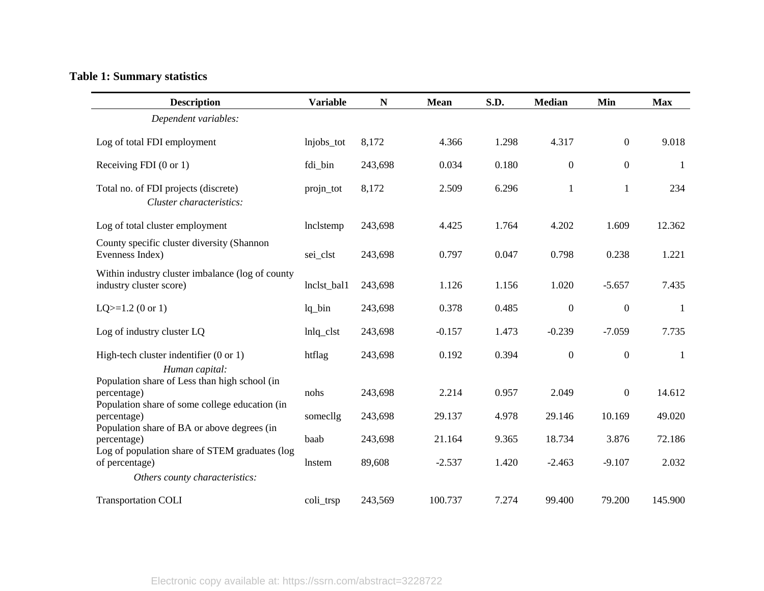## **Table 1: Summary statistics**

| <b>Description</b>                                                                                                                              | <b>Variable</b>  | $\mathbf N$        | <b>Mean</b>        | S.D.           | <b>Median</b>      | Min                      | <b>Max</b>       |
|-------------------------------------------------------------------------------------------------------------------------------------------------|------------------|--------------------|--------------------|----------------|--------------------|--------------------------|------------------|
| Dependent variables:                                                                                                                            |                  |                    |                    |                |                    |                          |                  |
| Log of total FDI employment                                                                                                                     | lnjobs_tot       | 8,172              | 4.366              | 1.298          | 4.317              | $\mathbf{0}$             | 9.018            |
| Receiving FDI $(0 \text{ or } 1)$                                                                                                               | fdi_bin          | 243,698            | 0.034              | 0.180          | $\theta$           | $\overline{0}$           | 1                |
| Total no. of FDI projects (discrete)<br>Cluster characteristics:                                                                                | projn_tot        | 8,172              | 2.509              | 6.296          | $\mathbf{1}$       | $\mathbf{1}$             | 234              |
| Log of total cluster employment                                                                                                                 | lnclstemp        | 243,698            | 4.425              | 1.764          | 4.202              | 1.609                    | 12.362           |
| County specific cluster diversity (Shannon<br>Evenness Index)                                                                                   | sei_clst         | 243,698            | 0.797              | 0.047          | 0.798              | 0.238                    | 1.221            |
| Within industry cluster imbalance (log of county<br>industry cluster score)                                                                     | lnclst_bal1      | 243,698            | 1.126              | 1.156          | 1.020              | $-5.657$                 | 7.435            |
| LQ $> = 1.2$ (0 or 1)                                                                                                                           | $lq_{bin}$       | 243,698            | 0.378              | 0.485          | $\overline{0}$     | $\overline{0}$           | 1                |
| Log of industry cluster LQ                                                                                                                      | $lnlq_c$ clst    | 243,698            | $-0.157$           | 1.473          | $-0.239$           | $-7.059$                 | 7.735            |
| High-tech cluster indentifier (0 or 1)                                                                                                          | htflag           | 243,698            | 0.192              | 0.394          | $\overline{0}$     | $\mathbf{0}$             | $\mathbf{1}$     |
| Human capital:<br>Population share of Less than high school (in<br>percentage)<br>Population share of some college education (in<br>percentage) | nohs<br>someclig | 243,698<br>243,698 | 2.214<br>29.137    | 0.957<br>4.978 | 2.049<br>29.146    | $\overline{0}$<br>10.169 | 14.612<br>49.020 |
| Population share of BA or above degrees (in                                                                                                     |                  |                    |                    |                |                    |                          |                  |
| percentage)<br>Log of population share of STEM graduates (log<br>of percentage)                                                                 | baab<br>lnstem   | 243,698<br>89,608  | 21.164<br>$-2.537$ | 9.365<br>1.420 | 18.734<br>$-2.463$ | 3.876<br>$-9.107$        | 72.186<br>2.032  |
| Others county characteristics:                                                                                                                  |                  |                    |                    |                |                    |                          |                  |
| <b>Transportation COLI</b>                                                                                                                      | coli_trsp        | 243,569            | 100.737            | 7.274          | 99.400             | 79.200                   | 145.900          |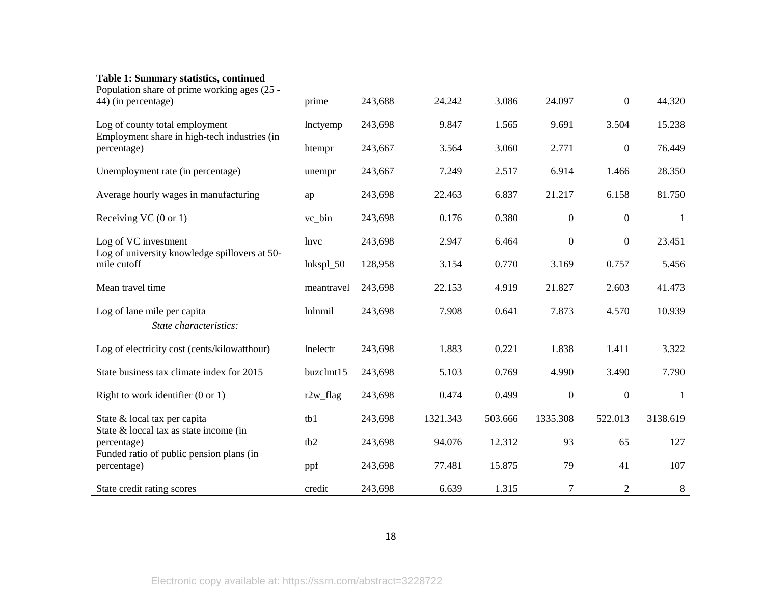## **Table 1: Summary statistics, continued**

| Population share of prime working ages (25 -                                   |                |         |          |         |                |                  |          |
|--------------------------------------------------------------------------------|----------------|---------|----------|---------|----------------|------------------|----------|
| 44) (in percentage)                                                            | prime          | 243,688 | 24.242   | 3.086   | 24.097         | $\overline{0}$   | 44.320   |
| Log of county total employment<br>Employment share in high-tech industries (in | lnctyemp       | 243,698 | 9.847    | 1.565   | 9.691          | 3.504            | 15.238   |
| percentage)                                                                    | htempr         | 243,667 | 3.564    | 3.060   | 2.771          | $\boldsymbol{0}$ | 76.449   |
| Unemployment rate (in percentage)                                              | unempr         | 243,667 | 7.249    | 2.517   | 6.914          | 1.466            | 28.350   |
| Average hourly wages in manufacturing                                          | ap             | 243,698 | 22.463   | 6.837   | 21.217         | 6.158            | 81.750   |
| Receiving VC $(0 \text{ or } 1)$                                               | $vc\_bin$      | 243,698 | 0.176    | 0.380   | $\overline{0}$ | $\mathbf{0}$     | -1       |
| Log of VC investment                                                           | lnvc           | 243,698 | 2.947    | 6.464   | $\overline{0}$ | $\boldsymbol{0}$ | 23.451   |
| Log of university knowledge spillovers at 50-<br>mile cutoff                   | $lnkspl_50$    | 128,958 | 3.154    | 0.770   | 3.169          | 0.757            | 5.456    |
| Mean travel time                                                               | meantravel     | 243,698 | 22.153   | 4.919   | 21.827         | 2.603            | 41.473   |
| Log of lane mile per capita<br>State characteristics:                          | <i>lnlnmil</i> | 243,698 | 7.908    | 0.641   | 7.873          | 4.570            | 10.939   |
| Log of electricity cost (cents/kilowatthour)                                   | lnelectr       | 243,698 | 1.883    | 0.221   | 1.838          | 1.411            | 3.322    |
| State business tax climate index for 2015                                      | buzclmt15      | 243,698 | 5.103    | 0.769   | 4.990          | 3.490            | 7.790    |
| Right to work identifier $(0 \text{ or } 1)$                                   | $r2w_{1}$ flag | 243,698 | 0.474    | 0.499   | $\overline{0}$ | $\boldsymbol{0}$ | 1        |
| State & local tax per capita                                                   | tb1            | 243,698 | 1321.343 | 503.666 | 1335.308       | 522.013          | 3138.619 |
| State & loccal tax as state income (in<br>percentage)                          | tb2            | 243,698 | 94.076   | 12.312  | 93             | 65               | 127      |
| Funded ratio of public pension plans (in<br>percentage)                        | ppf            | 243,698 | 77.481   | 15.875  | 79             | 41               | 107      |
| State credit rating scores                                                     | credit         | 243,698 | 6.639    | 1.315   | 7              | $\overline{2}$   | $8\,$    |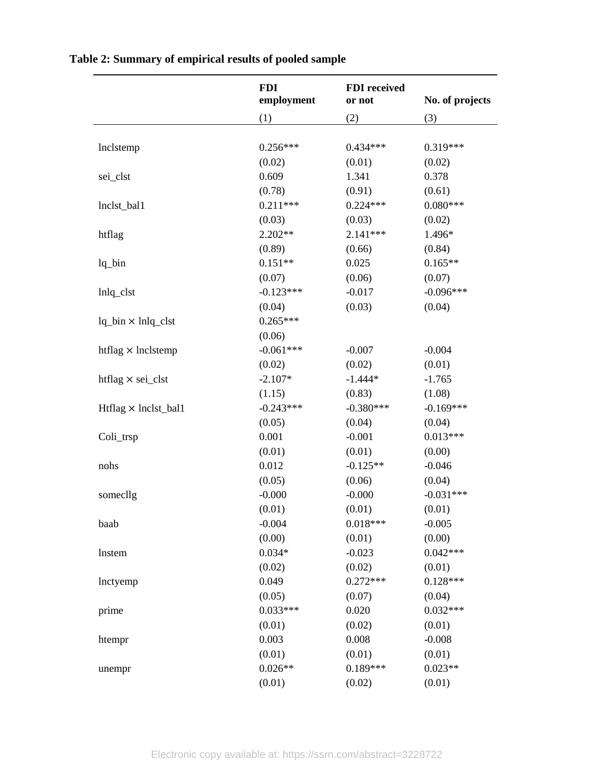|                             | <b>FDI</b><br>employment | <b>FDI</b> received<br>or not | No. of projects |
|-----------------------------|--------------------------|-------------------------------|-----------------|
|                             | (1)                      | (2)                           | (3)             |
|                             |                          |                               |                 |
| lnclstemp                   | $0.256***$               | $0.434***$                    | $0.319***$      |
|                             | (0.02)                   | (0.01)                        | (0.02)          |
| sei_clst                    | 0.609                    | 1.341                         | 0.378           |
|                             | (0.78)                   | (0.91)                        | (0.61)          |
| lnclst_bal1                 | $0.211***$               | $0.224***$                    | $0.080***$      |
|                             | (0.03)                   | (0.03)                        | (0.02)          |
| htflag                      | 2.202**                  | $2.141***$                    | 1.496*          |
|                             | (0.89)                   | (0.66)                        | (0.84)          |
| $lq\_bin$                   | $0.151**$                | 0.025                         | $0.165**$       |
|                             | (0.07)                   | (0.06)                        | (0.07)          |
| lnlq_clst                   | $-0.123***$              | $-0.017$                      | $-0.096***$     |
|                             | (0.04)                   | (0.03)                        | (0.04)          |
| $lq\_bin \times lnlq\_clst$ | $0.265***$               |                               |                 |
|                             | (0.06)                   |                               |                 |
| htflag $\times$ lnclstemp   | $-0.061***$              | $-0.007$                      | $-0.004$        |
|                             | (0.02)                   | (0.02)                        | (0.01)          |
| htflag $\times$ sei_clst    | $-2.107*$                | $-1.444*$                     | $-1.765$        |
|                             | (1.15)                   | (0.83)                        | (1.08)          |
| Htflag × lnclst_bal1        | $-0.243***$              | $-0.380***$                   | $-0.169***$     |
|                             | (0.05)                   | (0.04)                        | (0.04)          |
| Coli_trsp                   | 0.001                    | $-0.001$                      | $0.013***$      |
|                             | (0.01)                   | (0.01)                        | (0.00)          |
| nohs                        | 0.012                    | $-0.125**$                    | $-0.046$        |
|                             | (0.05)                   | (0.06)                        | (0.04)          |
| someclig                    | $-0.000$                 | $-0.000$                      | $-0.031***$     |
|                             | (0.01)                   | (0.01)                        | (0.01)          |
| baab                        | $-0.004$                 | $0.018***$                    | $-0.005$        |
|                             | (0.00)                   | (0.01)                        | (0.00)          |
| lnstem                      | $0.034*$                 | $-0.023$                      | $0.042***$      |
|                             | (0.02)                   | (0.02)                        | (0.01)          |
| lnctyemp                    | 0.049                    | $0.272***$                    | $0.128***$      |
|                             | (0.05)                   | (0.07)                        | (0.04)          |
| prime                       | $0.033***$               | 0.020                         | $0.032***$      |
|                             | (0.01)                   | (0.02)                        | (0.01)          |
| htempr                      | 0.003                    | 0.008                         | $-0.008$        |
|                             | (0.01)                   | (0.01)                        | (0.01)          |
| unempr                      | $0.026**$                | $0.189***$                    | $0.023**$       |
|                             | (0.01)                   | (0.02)                        | (0.01)          |

| Table 2: Summary of empirical results of pooled sample |  |
|--------------------------------------------------------|--|
|                                                        |  |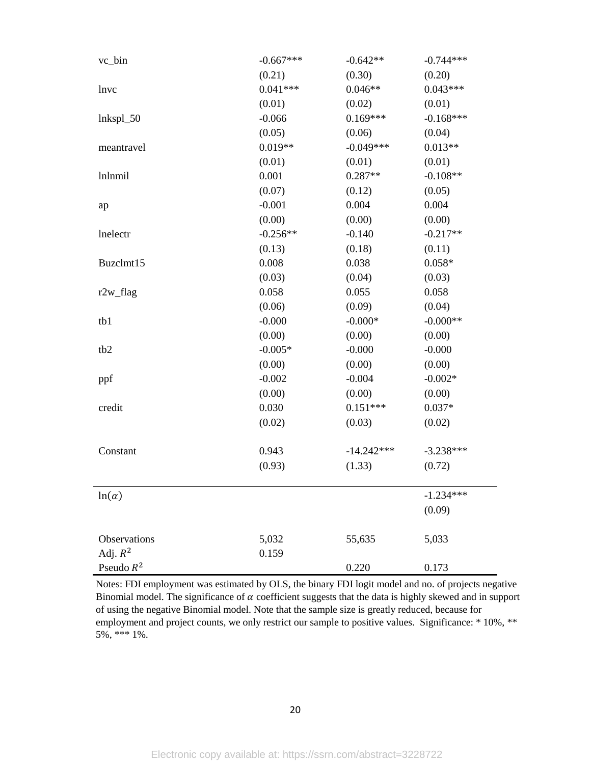| (0.21)<br>(0.30)<br>(0.20)<br>$0.041***$<br>$0.046**$<br>$0.043***$<br>lnvc<br>(0.01)<br>(0.01)<br>(0.02)<br>$0.169***$<br>$-0.168***$<br>$-0.066$<br>$lnkspl_50$<br>(0.05)<br>(0.06)<br>(0.04)<br>$0.019**$<br>$-0.049***$<br>$0.013**$<br>meantravel<br>(0.01)<br>(0.01)<br>(0.01)<br>0.001<br>0.287**<br>$-0.108**$<br><i>lnlnmil</i><br>(0.07)<br>(0.05)<br>(0.12)<br>$-0.001$<br>0.004<br>0.004<br>ap<br>(0.00)<br>(0.00)<br>(0.00)<br>$-0.256**$<br>$-0.140$<br>$-0.217**$<br>lnelectr<br>(0.13)<br>(0.18)<br>(0.11)<br>0.008<br>0.038<br>$0.058*$<br>Buzclmt15<br>(0.03)<br>(0.04)<br>(0.03)<br>0.058<br>0.055<br>0.058<br>$r2w_{flag}$<br>(0.06)<br>(0.09)<br>(0.04)<br>$-0.000**$<br>$-0.000$<br>$-0.000*$<br>tb1<br>(0.00)<br>(0.00)<br>(0.00) |
|----------------------------------------------------------------------------------------------------------------------------------------------------------------------------------------------------------------------------------------------------------------------------------------------------------------------------------------------------------------------------------------------------------------------------------------------------------------------------------------------------------------------------------------------------------------------------------------------------------------------------------------------------------------------------------------------------------------------------------------------------------|
|                                                                                                                                                                                                                                                                                                                                                                                                                                                                                                                                                                                                                                                                                                                                                          |
|                                                                                                                                                                                                                                                                                                                                                                                                                                                                                                                                                                                                                                                                                                                                                          |
|                                                                                                                                                                                                                                                                                                                                                                                                                                                                                                                                                                                                                                                                                                                                                          |
|                                                                                                                                                                                                                                                                                                                                                                                                                                                                                                                                                                                                                                                                                                                                                          |
|                                                                                                                                                                                                                                                                                                                                                                                                                                                                                                                                                                                                                                                                                                                                                          |
|                                                                                                                                                                                                                                                                                                                                                                                                                                                                                                                                                                                                                                                                                                                                                          |
|                                                                                                                                                                                                                                                                                                                                                                                                                                                                                                                                                                                                                                                                                                                                                          |
|                                                                                                                                                                                                                                                                                                                                                                                                                                                                                                                                                                                                                                                                                                                                                          |
|                                                                                                                                                                                                                                                                                                                                                                                                                                                                                                                                                                                                                                                                                                                                                          |
|                                                                                                                                                                                                                                                                                                                                                                                                                                                                                                                                                                                                                                                                                                                                                          |
|                                                                                                                                                                                                                                                                                                                                                                                                                                                                                                                                                                                                                                                                                                                                                          |
|                                                                                                                                                                                                                                                                                                                                                                                                                                                                                                                                                                                                                                                                                                                                                          |
|                                                                                                                                                                                                                                                                                                                                                                                                                                                                                                                                                                                                                                                                                                                                                          |
|                                                                                                                                                                                                                                                                                                                                                                                                                                                                                                                                                                                                                                                                                                                                                          |
|                                                                                                                                                                                                                                                                                                                                                                                                                                                                                                                                                                                                                                                                                                                                                          |
|                                                                                                                                                                                                                                                                                                                                                                                                                                                                                                                                                                                                                                                                                                                                                          |
|                                                                                                                                                                                                                                                                                                                                                                                                                                                                                                                                                                                                                                                                                                                                                          |
|                                                                                                                                                                                                                                                                                                                                                                                                                                                                                                                                                                                                                                                                                                                                                          |
|                                                                                                                                                                                                                                                                                                                                                                                                                                                                                                                                                                                                                                                                                                                                                          |
| $-0.005*$<br>$-0.000$<br>$-0.000$<br>tb <sub>2</sub>                                                                                                                                                                                                                                                                                                                                                                                                                                                                                                                                                                                                                                                                                                     |
| (0.00)<br>(0.00)<br>(0.00)                                                                                                                                                                                                                                                                                                                                                                                                                                                                                                                                                                                                                                                                                                                               |
| $-0.002$<br>$-0.004$<br>$-0.002*$<br>ppf                                                                                                                                                                                                                                                                                                                                                                                                                                                                                                                                                                                                                                                                                                                 |
| (0.00)<br>(0.00)<br>(0.00)                                                                                                                                                                                                                                                                                                                                                                                                                                                                                                                                                                                                                                                                                                                               |
| $0.151***$<br>0.030<br>$0.037*$<br>credit                                                                                                                                                                                                                                                                                                                                                                                                                                                                                                                                                                                                                                                                                                                |
| (0.02)<br>(0.02)<br>(0.03)                                                                                                                                                                                                                                                                                                                                                                                                                                                                                                                                                                                                                                                                                                                               |
|                                                                                                                                                                                                                                                                                                                                                                                                                                                                                                                                                                                                                                                                                                                                                          |
| 0.943<br>$-14.242***$<br>$-3.238***$<br>Constant                                                                                                                                                                                                                                                                                                                                                                                                                                                                                                                                                                                                                                                                                                         |
| (0.93)<br>(1.33)<br>(0.72)                                                                                                                                                                                                                                                                                                                                                                                                                                                                                                                                                                                                                                                                                                                               |
|                                                                                                                                                                                                                                                                                                                                                                                                                                                                                                                                                                                                                                                                                                                                                          |
| $ln(\alpha)$<br>$-1.234***$                                                                                                                                                                                                                                                                                                                                                                                                                                                                                                                                                                                                                                                                                                                              |
| (0.09)                                                                                                                                                                                                                                                                                                                                                                                                                                                                                                                                                                                                                                                                                                                                                   |
| Observations<br>5,032<br>55,635<br>5,033                                                                                                                                                                                                                                                                                                                                                                                                                                                                                                                                                                                                                                                                                                                 |
| Adj. $R^2$<br>0.159                                                                                                                                                                                                                                                                                                                                                                                                                                                                                                                                                                                                                                                                                                                                      |
| Pseudo $R^2$<br>0.220<br>0.173                                                                                                                                                                                                                                                                                                                                                                                                                                                                                                                                                                                                                                                                                                                           |

Notes: FDI employment was estimated by OLS, the binary FDI logit model and no. of projects negative Binomial model. The significance of  $\alpha$  coefficient suggests that the data is highly skewed and in support of using the negative Binomial model. Note that the sample size is greatly reduced, because for employment and project counts, we only restrict our sample to positive values. Significance: \* 10%, \*\* 5%, \*\*\* 1%.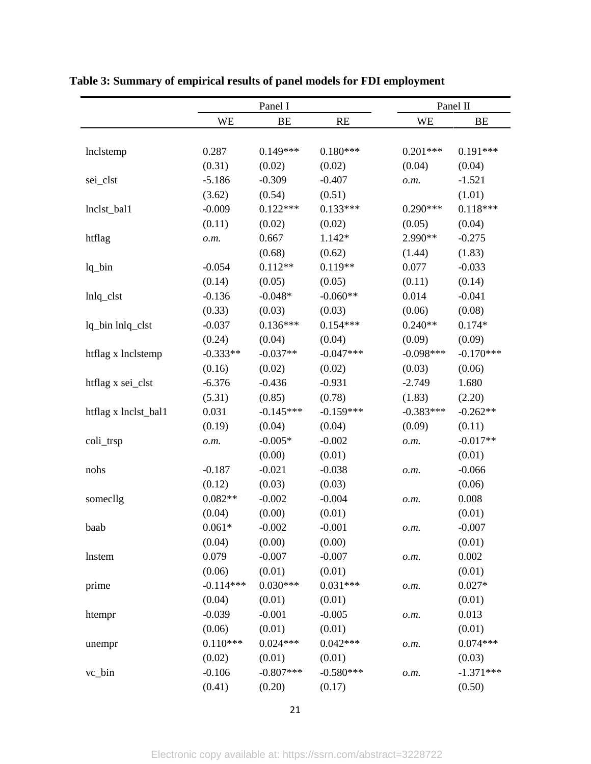|                      | Panel I     |             |             | Panel II    |             |  |
|----------------------|-------------|-------------|-------------|-------------|-------------|--|
|                      | WE          | <b>BE</b>   | <b>RE</b>   | <b>WE</b>   | <b>BE</b>   |  |
|                      |             |             |             |             |             |  |
| lnclstemp            | 0.287       | $0.149***$  | $0.180***$  | $0.201***$  | $0.191***$  |  |
|                      | (0.31)      | (0.02)      | (0.02)      | (0.04)      | (0.04)      |  |
| sei_clst             | $-5.186$    | $-0.309$    | $-0.407$    | o.m.        | $-1.521$    |  |
|                      | (3.62)      | (0.54)      | (0.51)      |             | (1.01)      |  |
| lnclst_bal1          | $-0.009$    | $0.122***$  | $0.133***$  | $0.290***$  | $0.118***$  |  |
|                      | (0.11)      | (0.02)      | (0.02)      | (0.05)      | (0.04)      |  |
| htflag               | o.m.        | 0.667       | 1.142*      | 2.990**     | $-0.275$    |  |
|                      |             | (0.68)      | (0.62)      | (1.44)      | (1.83)      |  |
| lq_bin               | $-0.054$    | $0.112**$   | $0.119**$   | 0.077       | $-0.033$    |  |
|                      | (0.14)      | (0.05)      | (0.05)      | (0.11)      | (0.14)      |  |
| $lnlq_c$             | $-0.136$    | $-0.048*$   | $-0.060**$  | 0.014       | $-0.041$    |  |
|                      | (0.33)      | (0.03)      | (0.03)      | (0.06)      | (0.08)      |  |
| lq_bin lnlq_clst     | $-0.037$    | $0.136***$  | $0.154***$  | $0.240**$   | $0.174*$    |  |
|                      | (0.24)      | (0.04)      | (0.04)      | (0.09)      | (0.09)      |  |
| htflag x lnclstemp   | $-0.333**$  | $-0.037**$  | $-0.047***$ | $-0.098***$ | $-0.170***$ |  |
|                      | (0.16)      | (0.02)      | (0.02)      | (0.03)      | (0.06)      |  |
| htflag x sei_clst    | $-6.376$    | $-0.436$    | $-0.931$    | $-2.749$    | 1.680       |  |
|                      | (5.31)      | (0.85)      | (0.78)      | (1.83)      | (2.20)      |  |
| htflag x lnclst_bal1 | 0.031       | $-0.145***$ | $-0.159***$ | $-0.383***$ | $-0.262**$  |  |
|                      | (0.19)      | (0.04)      | (0.04)      | (0.09)      | (0.11)      |  |
| coli_trsp            | o.m.        | $-0.005*$   | $-0.002$    | o.m.        | $-0.017**$  |  |
|                      |             | (0.00)      | (0.01)      |             | (0.01)      |  |
| nohs                 | $-0.187$    | $-0.021$    | $-0.038$    | O.M.        | $-0.066$    |  |
|                      | (0.12)      | (0.03)      | (0.03)      |             | (0.06)      |  |
| someclig             | $0.082**$   | $-0.002$    | $-0.004$    | O.M.        | 0.008       |  |
|                      | (0.04)      | (0.00)      | (0.01)      |             | (0.01)      |  |
| baab                 | $0.061*$    | $-0.002$    | $-0.001$    | <i>o.m.</i> | $-0.007$    |  |
|                      | (0.04)      | (0.00)      | (0.00)      |             | (0.01)      |  |
| lnstem               | 0.079       | $-0.007$    | $-0.007$    | O.M.        | 0.002       |  |
|                      | (0.06)      | (0.01)      | (0.01)      |             | (0.01)      |  |
| prime                | $-0.114***$ | $0.030***$  | $0.031***$  | o.m.        | $0.027*$    |  |
|                      | (0.04)      | (0.01)      | (0.01)      |             | (0.01)      |  |
| htempr               | $-0.039$    | $-0.001$    | $-0.005$    | O.M.        | 0.013       |  |
|                      | (0.06)      | (0.01)      | (0.01)      |             | (0.01)      |  |
| unempr               | $0.110***$  | $0.024***$  | $0.042***$  | o.m.        | $0.074***$  |  |
|                      | (0.02)      | (0.01)      | (0.01)      |             | (0.03)      |  |
| $vc\_bin$            | $-0.106$    | $-0.807***$ | $-0.580***$ | o.m.        | $-1.371***$ |  |
|                      | (0.41)      | (0.20)      | (0.17)      |             | (0.50)      |  |

**Table 3: Summary of empirical results of panel models for FDI employment**

21